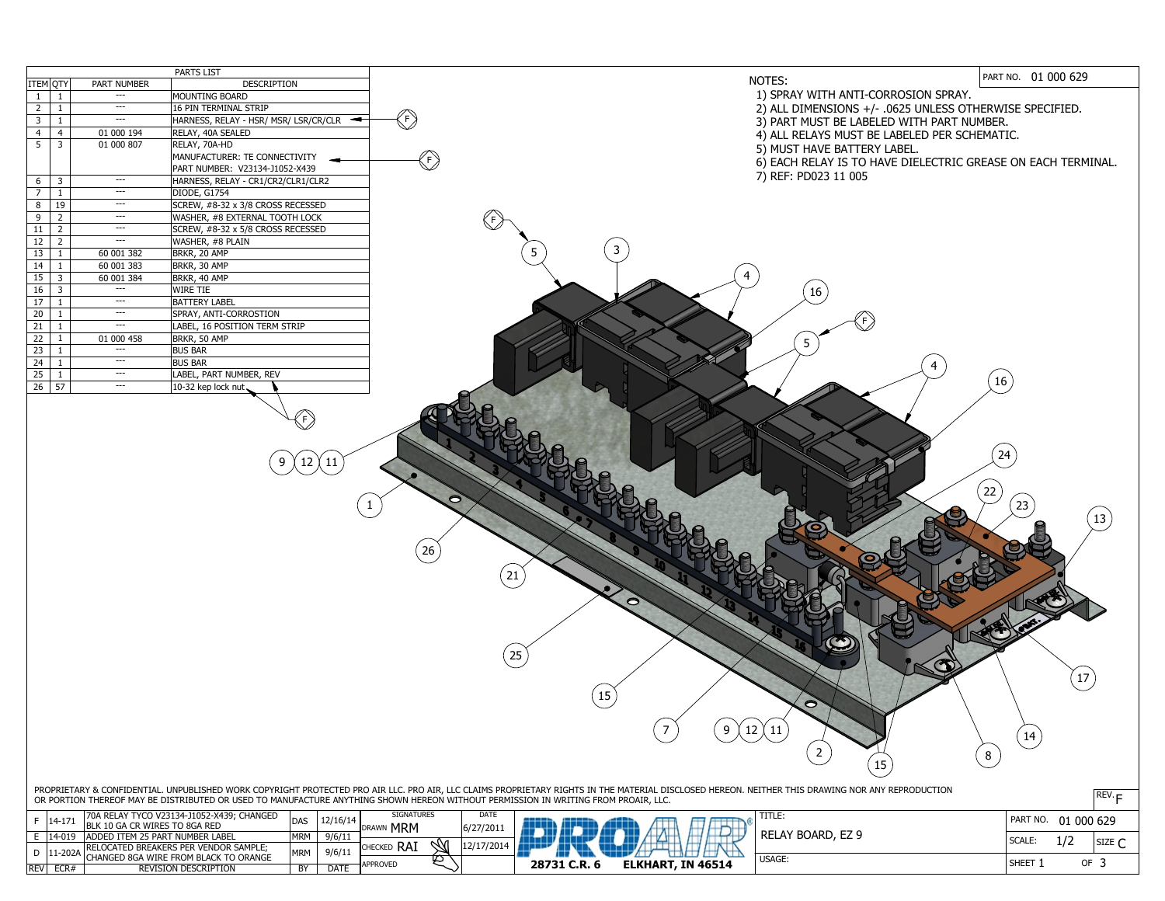|                                  |                             | PARTS LIST                                                                                    | NOTES:                                                                                                                                                                                                                                                                                                                                                                              | PART NO. 01 000 629                  |
|----------------------------------|-----------------------------|-----------------------------------------------------------------------------------------------|-------------------------------------------------------------------------------------------------------------------------------------------------------------------------------------------------------------------------------------------------------------------------------------------------------------------------------------------------------------------------------------|--------------------------------------|
| ITEM QTY                         | <b>PART NUMBER</b><br>$---$ | <b>DESCRIPTION</b><br>MOUNTING BOARD                                                          | 1) SPRAY WITH ANTI-CORROSION SPRAY.                                                                                                                                                                                                                                                                                                                                                 |                                      |
| $\overline{2}$                   | $---$                       | 16 PIN TERMINAL STRIP                                                                         | 2) ALL DIMENSIONS +/- .0625 UNLESS OTHERWISE SPECIFIED.                                                                                                                                                                                                                                                                                                                             |                                      |
| $\mathsf{3}$                     | $---$                       | HARNESS, RELAY - HSR/ MSR/ LSR/CR/CLR                                                         | $\left\langle \mathrm{F} \right\rangle$                                                                                                                                                                                                                                                                                                                                             |                                      |
| $\overline{4}$                   | 01 000 194                  | RELAY, 40A SEALED                                                                             | 3) PART MUST BE LABELED WITH PART NUMBER.                                                                                                                                                                                                                                                                                                                                           |                                      |
| 5 <sup>1</sup><br>$\overline{3}$ | 01 000 807                  | RELAY, 70A-HD                                                                                 | 4) ALL RELAYS MUST BE LABELED PER SCHEMATIC.                                                                                                                                                                                                                                                                                                                                        |                                      |
|                                  |                             | MANUFACTURER: TE CONNECTIVITY                                                                 | 5) MUST HAVE BATTERY LABEL.                                                                                                                                                                                                                                                                                                                                                         |                                      |
|                                  |                             | PART NUMBER: V23134-J1052-X439                                                                | $\left\langle \mathsf{F}\right\rangle$<br>6) EACH RELAY IS TO HAVE DIELECTRIC GREASE ON EACH TERMINAL.                                                                                                                                                                                                                                                                              |                                      |
| 6<br>$\overline{3}$              | $---$                       | HARNESS, RELAY - CR1/CR2/CLR1/CLR2                                                            | 7) REF: PD023 11 005                                                                                                                                                                                                                                                                                                                                                                |                                      |
|                                  | $---$                       | DIODE, G1754                                                                                  |                                                                                                                                                                                                                                                                                                                                                                                     |                                      |
| 8                                | 19<br>$---$                 | SCREW, #8-32 x 3/8 CROSS RECESSED                                                             |                                                                                                                                                                                                                                                                                                                                                                                     |                                      |
| 9                                | $---$                       | WASHER, #8 EXTERNAL TOOTH LOCK                                                                |                                                                                                                                                                                                                                                                                                                                                                                     |                                      |
| 11<br>$\overline{2}$             | $---$                       | SCREW, #8-32 x 5/8 CROSS RECESSED                                                             | $\begin{pmatrix} 5 \end{pmatrix}$                                                                                                                                                                                                                                                                                                                                                   |                                      |
| 12                               | $---$                       | WASHER, #8 PLAIN                                                                              |                                                                                                                                                                                                                                                                                                                                                                                     |                                      |
| 13                               | 60 001 382                  | BRKR, 20 AMP                                                                                  | $\overline{3}$<br>5                                                                                                                                                                                                                                                                                                                                                                 |                                      |
| 14                               | 60 001 383                  | BRKR, 30 AMP                                                                                  |                                                                                                                                                                                                                                                                                                                                                                                     |                                      |
| 15<br>-3                         | 60 001 384                  | BRKR, 40 AMP                                                                                  |                                                                                                                                                                                                                                                                                                                                                                                     |                                      |
| 16                               | $---$                       | WIRE TIE                                                                                      | 16                                                                                                                                                                                                                                                                                                                                                                                  |                                      |
| 17                               | $---$                       | <b>BATTERY LABEL</b>                                                                          |                                                                                                                                                                                                                                                                                                                                                                                     |                                      |
| $\overline{20}$                  | $---$                       | SPRAY, ANTI-CORROSTION                                                                        |                                                                                                                                                                                                                                                                                                                                                                                     |                                      |
| 21                               | $---$                       | LABEL, 16 POSITION TERM STRIP                                                                 |                                                                                                                                                                                                                                                                                                                                                                                     |                                      |
| 22                               | 01 000 458                  | BRKR, 50 AMP                                                                                  |                                                                                                                                                                                                                                                                                                                                                                                     |                                      |
| 23                               | $---$                       | <b>BUS BAR</b>                                                                                |                                                                                                                                                                                                                                                                                                                                                                                     |                                      |
| $\overline{24}$                  | $---$                       | <b>BUS BAR</b>                                                                                | $\overline{4}$                                                                                                                                                                                                                                                                                                                                                                      |                                      |
| 25                               | $---$                       | LABEL, PART NUMBER, REV                                                                       |                                                                                                                                                                                                                                                                                                                                                                                     | 16                                   |
| $26 \mid 57$                     | $---$                       | 10-32 kep lock nut                                                                            |                                                                                                                                                                                                                                                                                                                                                                                     |                                      |
|                                  |                             |                                                                                               | 26<br>0<br>25<br>$\bullet$<br>$\begin{pmatrix} 9 \end{pmatrix}$ $(12 \times 11)$                                                                                                                                                                                                                                                                                                    | 23<br>13<br>$\boxed{14}$<br>8        |
| $F$   14-171                     |                             | 70A RELAY TYCO V23134-J1052-X439; CHANGED<br>BLK 10 GA CR WIRES TO 8GA RED<br> DAS   12/16/14 | 15<br>PROPRIETARY & CONFIDENTIAL. UNPUBLISHED WORK COPYRIGHT PROTECTED PRO AIR LLC. PRO AIR, LLC CLAIMS PROPRIETARY RIGHTS IN THE MATERIAL DISCLOSED HEREON. NEITHER THIS DRAWING NOR ANY REPRODUCTION<br>OR PORTION THEREOF MAY BE DISTRIBUTED OR USED TO MANUFACTURE ANYTHING SHOWN HEREON WITHOUT PERMISSION IN WRITING FROM PROAIR, LLC.<br><b>SIGNATURES</b><br>DATE<br>TITLE: | $REV \cdot F$<br>PART NO. 01 000 629 |
|                                  |                             |                                                                                               | DRAWN MRM<br>6/27/2011                                                                                                                                                                                                                                                                                                                                                              |                                      |



## NOTES:

| <b>REV</b> | ECR#       | <b>REVISION DESCRIPTION</b>                   | <b>BY</b>  | DATE     | <b>APPROVED</b>              |           | 28731 C.R. | <b>ELKHAI</b> |
|------------|------------|-----------------------------------------------|------------|----------|------------------------------|-----------|------------|---------------|
|            |            | CHANGED 8GA WIRE FROM BLACK TO ORANGE         |            |          |                              |           |            |               |
|            | $1-202$ A  | <b>IRELOCATED BREAKERS PER VENDOR SAMPLE;</b> | <b>MRM</b> | 9/6/11   | <b>RAI</b><br><b>CHECKED</b> |           |            |               |
|            | 14-019     | <b>IADDED ITEM 25 PART NUMBER LABEL</b>       | <b>MRM</b> | 9/6/11   |                              |           |            |               |
|            | $14 - 1/1$ | <b>IBLK 10 GA CR WIRES TO 8GA RED</b>         | 'DAS       | 12/16/14 | <b>MRM</b><br><b>DRAWN</b>   | 6/27/2011 |            |               |

- 1) SPRAY WITH ANTI-CORROSION SPRAY.
- 2) ALL DIMENSIONS +/- .0625 UNLESS OTHERWISE SPECIFIED.
- 3) PART MUST BE LABELED WITH PART NUMBER.
- 4) ALL RELAYS MUST BE LABELED PER SCHEMATIC.
- 5) MUST HAVE BATTERY LABEL.
- 6) EACH RELAY IS TO HAVE DIELECTRIC GREASE ON EACH TERMINAL.
- 7) REF: PD023 11 005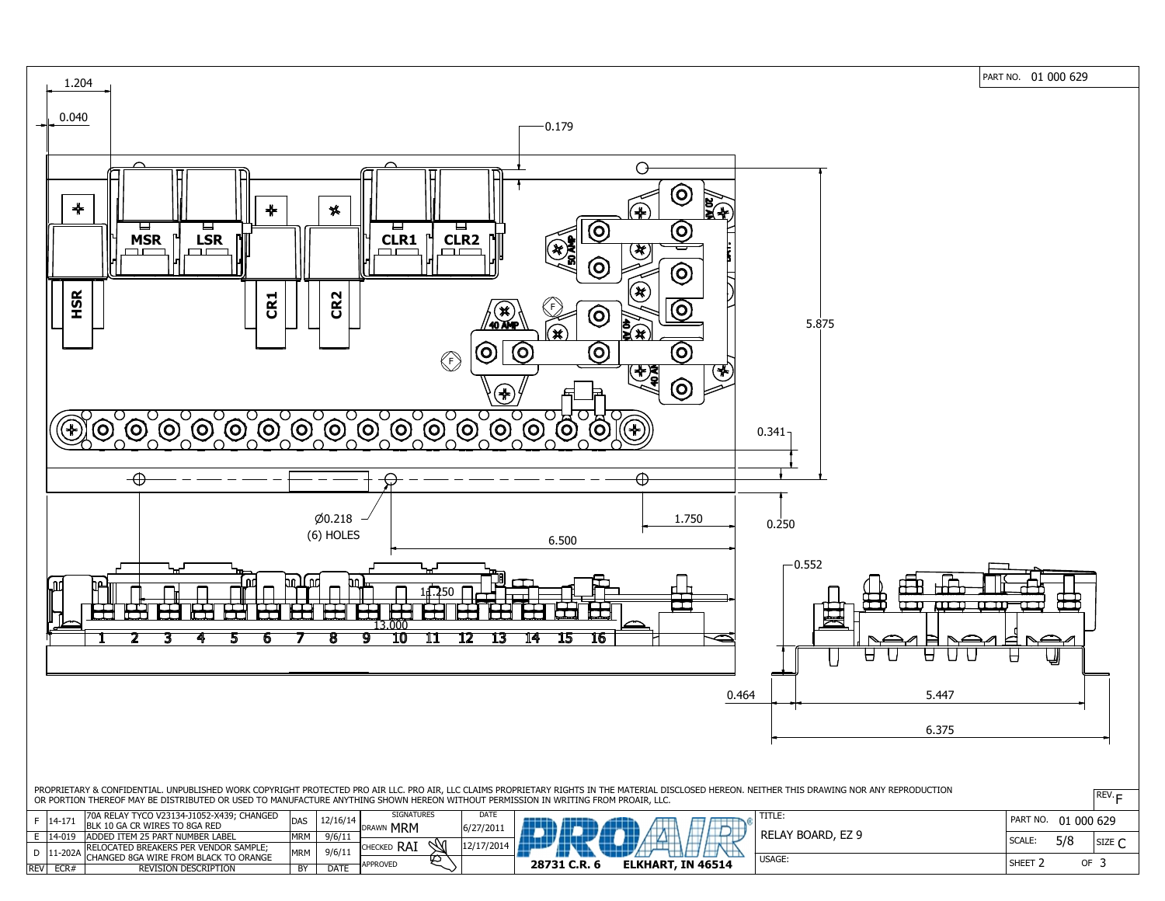PART NO. 01 000 629



| <b>REV</b> | ECR#        | <b>REVISION DESCRIPTION</b>            | BY         | <b>DATE</b> | <b>APPROVED</b>            |               | 28731 C.R. 6 | <b>ELKHA</b> |
|------------|-------------|----------------------------------------|------------|-------------|----------------------------|---------------|--------------|--------------|
|            |             | CHANGED 8GA WIRE FROM BLACK TO ORANGE  |            |             |                            |               |              |              |
|            | $ 11 - 202$ | RELOCATED BREAKERS PER VENDOR SAMPLE;  | MRM        | 9/6/11      | RA,<br><b>CHECKED</b>      |               |              |              |
|            | 14-019      | <b>ADDED ITEM 25 PART NUMBER LABEL</b> | <b>MRM</b> | 9/6/11      |                            |               |              |              |
|            | ╷⊥┬╌⊥ノ⊥     | BLK 10 GA CR WIRES TO 8GA RED          | טרשו       | $+2/10/1$   | <b>MRM</b><br><b>DRAWN</b> | $16/27/201$ . |              |              |